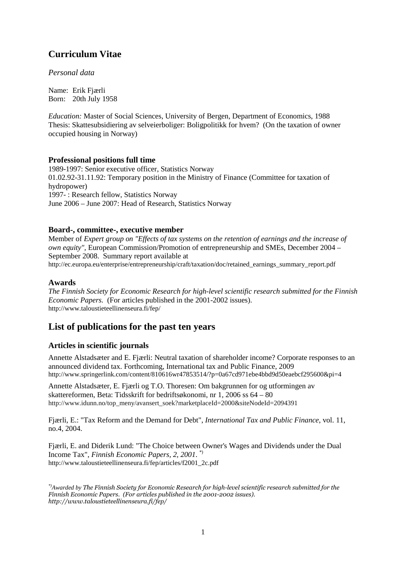# **Curriculum Vitae**

*Personal data* 

Name: Erik Fjærli Born: 20th July 1958

*Education:* Master of Social Sciences, University of Bergen, Department of Economics, 1988 Thesis: Skattesubsidiering av selveierboliger: Boligpolitikk for hvem? (On the taxation of owner occupied housing in Norway)

#### **Professional positions full time**

1989-1997: Senior executive officer, Statistics Norway 01.02.92-31.11.92: Temporary position in the Ministry of Finance (Committee for taxation of hydropower) 1997- : Research fellow, Statistics Norway June 2006 – June 2007: Head of Research, Statistics Norway

#### **Board-, committee-, executive member**

Member of *Expert group on "Effects of tax systems on the retention of earnings and the increase of own equity",* European Commission/Promotion of entrepreneurship and SMEs, December 2004 – September 2008. Summary report available at http://ec.europa.eu/enterprise/entrepreneurship/craft/taxation/doc/retained\_earnings\_summary\_report.pdf

#### **Awards**

*The Finnish Society for Economic Research for high-level scientific research submitted for the Finnish Economic Papers.* (For articles published in the 2001-2002 issues). http://www.taloustieteellinenseura.fi/fep/

# **List of publications for the past ten years**

## **Articles in scientific journals**

Annette Alstadsæter and E. Fjærli: Neutral taxation of shareholder income? Corporate responses to an announced dividend tax. Forthcoming, International tax and Public Finance, 2009 http://www.springerlink.com/content/810616wr47853514/?p=0a67cd971ebe4bbd9d50eaebcf295600&pi=4

Annette Alstadsæter, E. Fjærli og T.O. Thoresen: Om bakgrunnen for og utformingen av skattereformen, Beta: Tidsskrift for bedriftsøkonomi, nr 1, 2006 ss 64 – 80 http://www.idunn.no/top\_meny/avansert\_soek?marketplaceId=2000&siteNodeId=2094391

Fjærli, E.: "Tax Reform and the Demand for Debt", *International Tax and Public Finance*, vol. 11, no.4, 2004.

Fjærli, E. and Diderik Lund: "The Choice between Owner's Wages and Dividends under the Dual Income Tax", *Finnish Economic Papers, 2, 2001*. \*) http://www.taloustieteellinenseura.fi/fep/articles/f2001\_2c.pdf

*<sup>\*)</sup>Awarded by The Finnish Society for Economic Research for high-level scientific research submitted for the Finnish Economic Papers. (For articles published in the 2001-2002 issues). http://www.taloustieteellinenseura.fi/fep/*